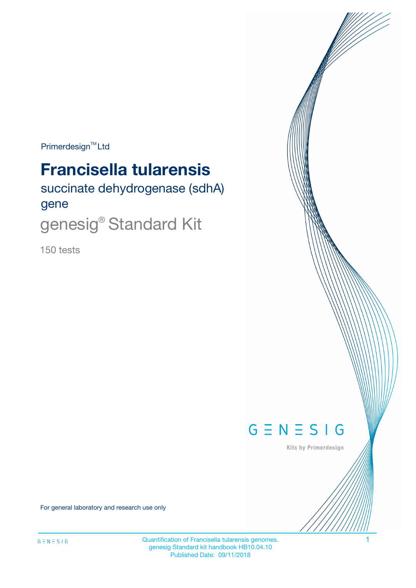$Primerdesign^{\text{TM}}Ltd$ 

# **Francisella tularensis**

succinate dehydrogenase (sdhA) gene

genesig® Standard Kit

150 tests



Kits by Primerdesign

For general laboratory and research use only

Quantification of Francisella tularensis genomes. 1 genesig Standard kit handbook HB10.04.10 Published Date: 09/11/2018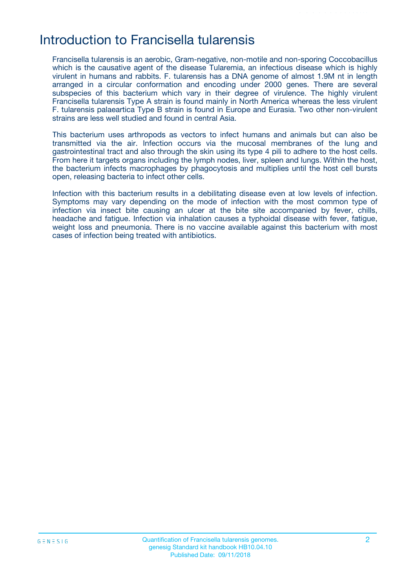## Introduction to Francisella tularensis

Francisella tularensis is an aerobic, Gram-negative, non-motile and non-sporing Coccobacillus which is the causative agent of the disease Tularemia, an infectious disease which is highly virulent in humans and rabbits. F. tularensis has a DNA genome of almost 1.9M nt in length arranged in a circular conformation and encoding under 2000 genes. There are several subspecies of this bacterium which vary in their degree of virulence. The highly virulent Francisella tularensis Type A strain is found mainly in North America whereas the less virulent F. tularensis palaeartica Type B strain is found in Europe and Eurasia. Two other non-virulent strains are less well studied and found in central Asia.

This bacterium uses arthropods as vectors to infect humans and animals but can also be transmitted via the air. Infection occurs via the mucosal membranes of the lung and gastrointestinal tract and also through the skin using its type 4 pili to adhere to the host cells. From here it targets organs including the lymph nodes, liver, spleen and lungs. Within the host, the bacterium infects macrophages by phagocytosis and multiplies until the host cell bursts open, releasing bacteria to infect other cells.

Infection with this bacterium results in a debilitating disease even at low levels of infection. Symptoms may vary depending on the mode of infection with the most common type of infection via insect bite causing an ulcer at the bite site accompanied by fever, chills, headache and fatigue. Infection via inhalation causes a typhoidal disease with fever, fatigue, weight loss and pneumonia. There is no vaccine available against this bacterium with most cases of infection being treated with antibiotics.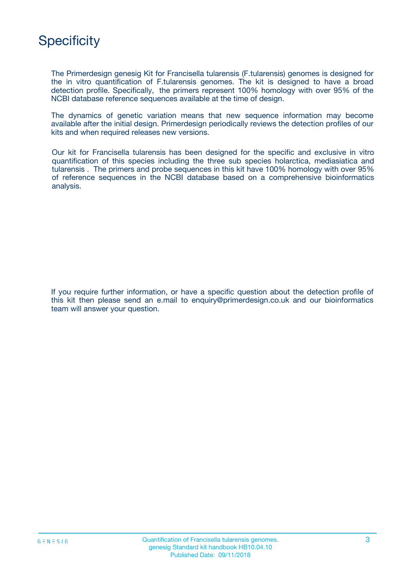

The Primerdesign genesig Kit for Francisella tularensis (F.tularensis) genomes is designed for the in vitro quantification of F.tularensis genomes. The kit is designed to have a broad detection profile. Specifically, the primers represent 100% homology with over 95% of the NCBI database reference sequences available at the time of design.

The dynamics of genetic variation means that new sequence information may become available after the initial design. Primerdesign periodically reviews the detection profiles of our kits and when required releases new versions.

Our kit for Francisella tularensis has been designed for the specific and exclusive in vitro quantification of this species including the three sub species holarctica, mediasiatica and tularensis . The primers and probe sequences in this kit have 100% homology with over 95% of reference sequences in the NCBI database based on a comprehensive bioinformatics analysis.

If you require further information, or have a specific question about the detection profile of this kit then please send an e.mail to enquiry@primerdesign.co.uk and our bioinformatics team will answer your question.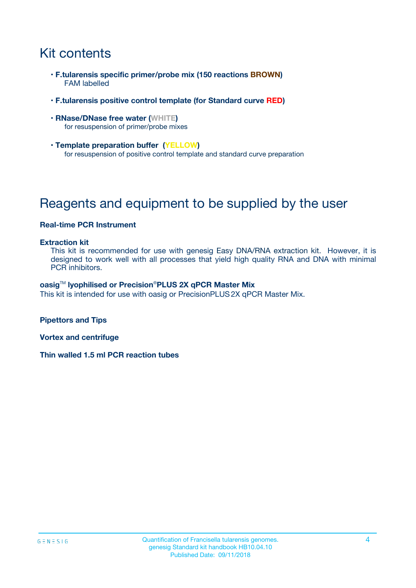## Kit contents

- **F.tularensis specific primer/probe mix (150 reactions BROWN)** FAM labelled
- **F.tularensis positive control template (for Standard curve RED)**
- **RNase/DNase free water (WHITE)** for resuspension of primer/probe mixes
- **Template preparation buffer (YELLOW)** for resuspension of positive control template and standard curve preparation

## Reagents and equipment to be supplied by the user

#### **Real-time PCR Instrument**

#### **Extraction kit**

This kit is recommended for use with genesig Easy DNA/RNA extraction kit. However, it is designed to work well with all processes that yield high quality RNA and DNA with minimal PCR inhibitors.

#### **oasig**TM **lyophilised or Precision**®**PLUS 2X qPCR Master Mix**

This kit is intended for use with oasig or PrecisionPLUS2X qPCR Master Mix.

**Pipettors and Tips**

**Vortex and centrifuge**

**Thin walled 1.5 ml PCR reaction tubes**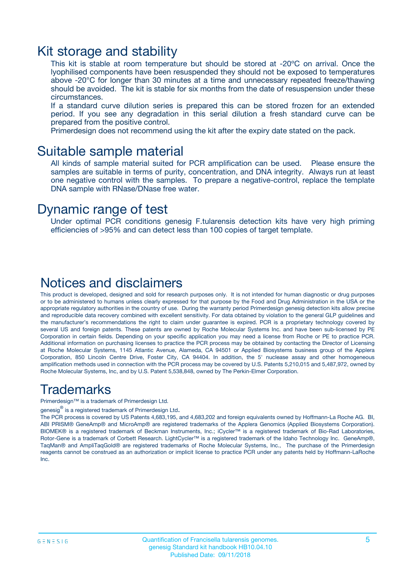### Kit storage and stability

This kit is stable at room temperature but should be stored at -20ºC on arrival. Once the lyophilised components have been resuspended they should not be exposed to temperatures above -20°C for longer than 30 minutes at a time and unnecessary repeated freeze/thawing should be avoided. The kit is stable for six months from the date of resuspension under these circumstances.

If a standard curve dilution series is prepared this can be stored frozen for an extended period. If you see any degradation in this serial dilution a fresh standard curve can be prepared from the positive control.

Primerdesign does not recommend using the kit after the expiry date stated on the pack.

### Suitable sample material

All kinds of sample material suited for PCR amplification can be used. Please ensure the samples are suitable in terms of purity, concentration, and DNA integrity. Always run at least one negative control with the samples. To prepare a negative-control, replace the template DNA sample with RNase/DNase free water.

### Dynamic range of test

Under optimal PCR conditions genesig F.tularensis detection kits have very high priming efficiencies of >95% and can detect less than 100 copies of target template.

### Notices and disclaimers

This product is developed, designed and sold for research purposes only. It is not intended for human diagnostic or drug purposes or to be administered to humans unless clearly expressed for that purpose by the Food and Drug Administration in the USA or the appropriate regulatory authorities in the country of use. During the warranty period Primerdesign genesig detection kits allow precise and reproducible data recovery combined with excellent sensitivity. For data obtained by violation to the general GLP guidelines and the manufacturer's recommendations the right to claim under guarantee is expired. PCR is a proprietary technology covered by several US and foreign patents. These patents are owned by Roche Molecular Systems Inc. and have been sub-licensed by PE Corporation in certain fields. Depending on your specific application you may need a license from Roche or PE to practice PCR. Additional information on purchasing licenses to practice the PCR process may be obtained by contacting the Director of Licensing at Roche Molecular Systems, 1145 Atlantic Avenue, Alameda, CA 94501 or Applied Biosystems business group of the Applera Corporation, 850 Lincoln Centre Drive, Foster City, CA 94404. In addition, the 5' nuclease assay and other homogeneous amplification methods used in connection with the PCR process may be covered by U.S. Patents 5,210,015 and 5,487,972, owned by Roche Molecular Systems, Inc, and by U.S. Patent 5,538,848, owned by The Perkin-Elmer Corporation.

### Trademarks

Primerdesign™ is a trademark of Primerdesign Ltd.

genesig $^\circledR$  is a registered trademark of Primerdesign Ltd.

The PCR process is covered by US Patents 4,683,195, and 4,683,202 and foreign equivalents owned by Hoffmann-La Roche AG. BI, ABI PRISM® GeneAmp® and MicroAmp® are registered trademarks of the Applera Genomics (Applied Biosystems Corporation). BIOMEK® is a registered trademark of Beckman Instruments, Inc.; iCycler™ is a registered trademark of Bio-Rad Laboratories, Rotor-Gene is a trademark of Corbett Research. LightCycler™ is a registered trademark of the Idaho Technology Inc. GeneAmp®, TaqMan® and AmpliTaqGold® are registered trademarks of Roche Molecular Systems, Inc., The purchase of the Primerdesign reagents cannot be construed as an authorization or implicit license to practice PCR under any patents held by Hoffmann-LaRoche Inc.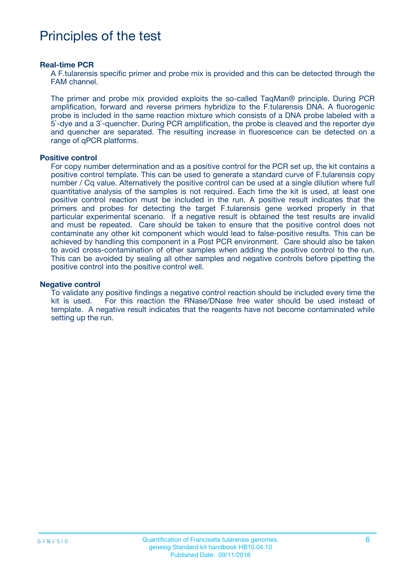## Principles of the test

#### **Real-time PCR**

A F.tularensis specific primer and probe mix is provided and this can be detected through the FAM channel.

The primer and probe mix provided exploits the so-called TaqMan® principle. During PCR amplification, forward and reverse primers hybridize to the F.tularensis DNA. A fluorogenic probe is included in the same reaction mixture which consists of a DNA probe labeled with a 5`-dye and a 3`-quencher. During PCR amplification, the probe is cleaved and the reporter dye and quencher are separated. The resulting increase in fluorescence can be detected on a range of qPCR platforms.

#### **Positive control**

For copy number determination and as a positive control for the PCR set up, the kit contains a positive control template. This can be used to generate a standard curve of F.tularensis copy number / Cq value. Alternatively the positive control can be used at a single dilution where full quantitative analysis of the samples is not required. Each time the kit is used, at least one positive control reaction must be included in the run. A positive result indicates that the primers and probes for detecting the target F.tularensis gene worked properly in that particular experimental scenario. If a negative result is obtained the test results are invalid and must be repeated. Care should be taken to ensure that the positive control does not contaminate any other kit component which would lead to false-positive results. This can be achieved by handling this component in a Post PCR environment. Care should also be taken to avoid cross-contamination of other samples when adding the positive control to the run. This can be avoided by sealing all other samples and negative controls before pipetting the positive control into the positive control well.

#### **Negative control**

To validate any positive findings a negative control reaction should be included every time the kit is used. For this reaction the RNase/DNase free water should be used instead of template. A negative result indicates that the reagents have not become contaminated while setting up the run.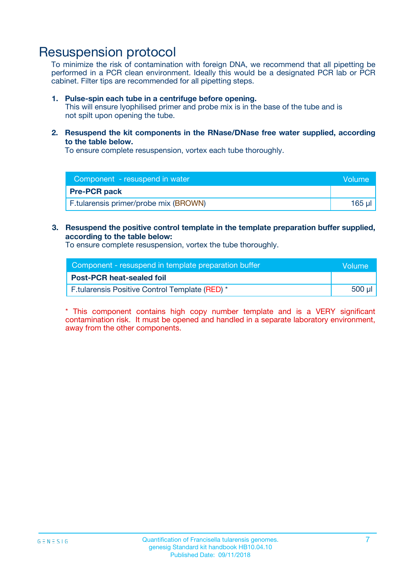## Resuspension protocol

To minimize the risk of contamination with foreign DNA, we recommend that all pipetting be performed in a PCR clean environment. Ideally this would be a designated PCR lab or PCR cabinet. Filter tips are recommended for all pipetting steps.

#### **1. Pulse-spin each tube in a centrifuge before opening.**

This will ensure lyophilised primer and probe mix is in the base of the tube and is not spilt upon opening the tube.

**2. Resuspend the kit components in the RNase/DNase free water supplied, according to the table below.**

To ensure complete resuspension, vortex each tube thoroughly.

| Component - resuspend in water        | Volume: |
|---------------------------------------|---------|
| <b>Pre-PCR pack</b>                   |         |
| F.tularensis primer/probe mix (BROWN) | 165 ul  |

### **3. Resuspend the positive control template in the template preparation buffer supplied, according to the table below:**

To ensure complete resuspension, vortex the tube thoroughly.

| Component - resuspend in template preparation buffer |        |  |
|------------------------------------------------------|--------|--|
| <b>Post-PCR heat-sealed foil</b>                     |        |  |
| F.tularensis Positive Control Template (RED) *       | 500 µl |  |

\* This component contains high copy number template and is a VERY significant contamination risk. It must be opened and handled in a separate laboratory environment, away from the other components.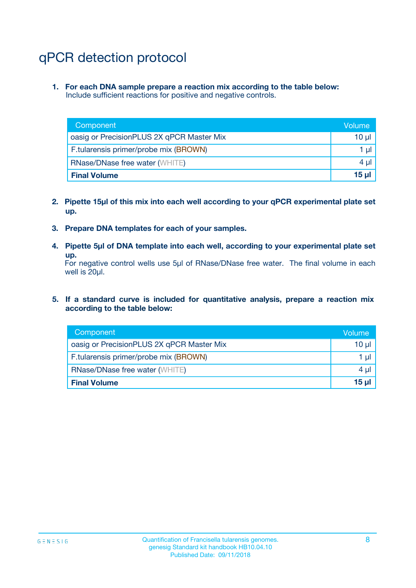## qPCR detection protocol

**1. For each DNA sample prepare a reaction mix according to the table below:** Include sufficient reactions for positive and negative controls.

| Component                                 | Volume   |
|-------------------------------------------|----------|
| oasig or PrecisionPLUS 2X qPCR Master Mix | 10 $\mu$ |
| F.tularensis primer/probe mix (BROWN)     | 1 $\mu$  |
| <b>RNase/DNase free water (WHITE)</b>     | $4 \mu$  |
| <b>Final Volume</b>                       | $15$ µ   |

- **2. Pipette 15µl of this mix into each well according to your qPCR experimental plate set up.**
- **3. Prepare DNA templates for each of your samples.**
- **4. Pipette 5µl of DNA template into each well, according to your experimental plate set up.**

For negative control wells use 5µl of RNase/DNase free water. The final volume in each well is 20µl.

**5. If a standard curve is included for quantitative analysis, prepare a reaction mix according to the table below:**

| Component                                 | Volume     |
|-------------------------------------------|------------|
| oasig or PrecisionPLUS 2X qPCR Master Mix | 10 µl      |
| F.tularensis primer/probe mix (BROWN)     | 1 µI       |
| <b>RNase/DNase free water (WHITE)</b>     | $4 \mu$    |
| <b>Final Volume</b>                       | $15$ $\mu$ |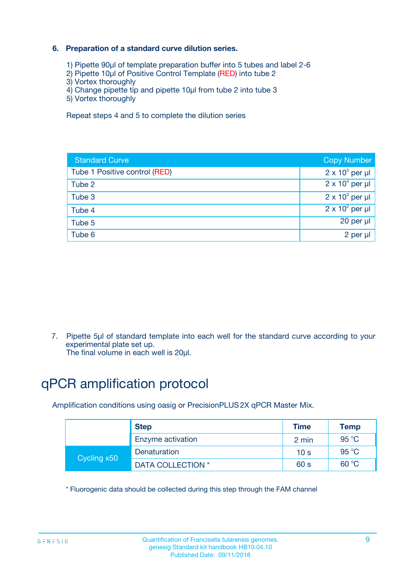### **6. Preparation of a standard curve dilution series.**

- 1) Pipette 90µl of template preparation buffer into 5 tubes and label 2-6
- 2) Pipette 10µl of Positive Control Template (RED) into tube 2
- 3) Vortex thoroughly
- 4) Change pipette tip and pipette 10µl from tube 2 into tube 3
- 5) Vortex thoroughly

Repeat steps 4 and 5 to complete the dilution series

| <b>Standard Curve</b>         | <b>Copy Number</b>     |
|-------------------------------|------------------------|
| Tube 1 Positive control (RED) | $2 \times 10^5$ per µl |
| Tube 2                        | $2 \times 10^4$ per µl |
| Tube 3                        | $2 \times 10^3$ per µl |
| Tube 4                        | $2 \times 10^2$ per µl |
| Tube 5                        | 20 per µl              |
| Tube 6                        | 2 per ul               |

7. Pipette 5µl of standard template into each well for the standard curve according to your experimental plate set up.

The final volume in each well is 20µl.

## qPCR amplification protocol

Amplification conditions using oasig or PrecisionPLUS2X qPCR Master Mix.

| <b>Step</b> |                   | <b>Time</b>     | <b>Temp</b> |
|-------------|-------------------|-----------------|-------------|
|             | Enzyme activation | 2 min           | 95 °C       |
| Cycling x50 | Denaturation      | 10 <sub>s</sub> | 95 $°C$     |
|             | DATA COLLECTION * | 60 s            | 60 °C       |

\* Fluorogenic data should be collected during this step through the FAM channel